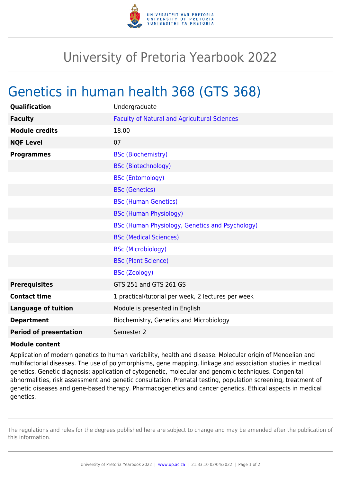

## University of Pretoria Yearbook 2022

## Genetics in human health 368 (GTS 368)

| <b>Qualification</b>          | Undergraduate                                       |
|-------------------------------|-----------------------------------------------------|
| <b>Faculty</b>                | <b>Faculty of Natural and Agricultural Sciences</b> |
| <b>Module credits</b>         | 18.00                                               |
| <b>NQF Level</b>              | 07                                                  |
| <b>Programmes</b>             | <b>BSc (Biochemistry)</b>                           |
|                               | <b>BSc (Biotechnology)</b>                          |
|                               | <b>BSc (Entomology)</b>                             |
|                               | <b>BSc (Genetics)</b>                               |
|                               | <b>BSc (Human Genetics)</b>                         |
|                               | <b>BSc (Human Physiology)</b>                       |
|                               | BSc (Human Physiology, Genetics and Psychology)     |
|                               | <b>BSc (Medical Sciences)</b>                       |
|                               | <b>BSc (Microbiology)</b>                           |
|                               | <b>BSc (Plant Science)</b>                          |
|                               | <b>BSc (Zoology)</b>                                |
| <b>Prerequisites</b>          | GTS 251 and GTS 261 GS                              |
| <b>Contact time</b>           | 1 practical/tutorial per week, 2 lectures per week  |
| <b>Language of tuition</b>    | Module is presented in English                      |
| <b>Department</b>             | Biochemistry, Genetics and Microbiology             |
| <b>Period of presentation</b> | Semester 2                                          |

## **Module content**

Application of modern genetics to human variability, health and disease. Molecular origin of Mendelian and multifactorial diseases. The use of polymorphisms, gene mapping, linkage and association studies in medical genetics. Genetic diagnosis: application of cytogenetic, molecular and genomic techniques. Congenital abnormalities, risk assessment and genetic consultation. Prenatal testing, population screening, treatment of genetic diseases and gene-based therapy. Pharmacogenetics and cancer genetics. Ethical aspects in medical genetics.

The regulations and rules for the degrees published here are subject to change and may be amended after the publication of this information.